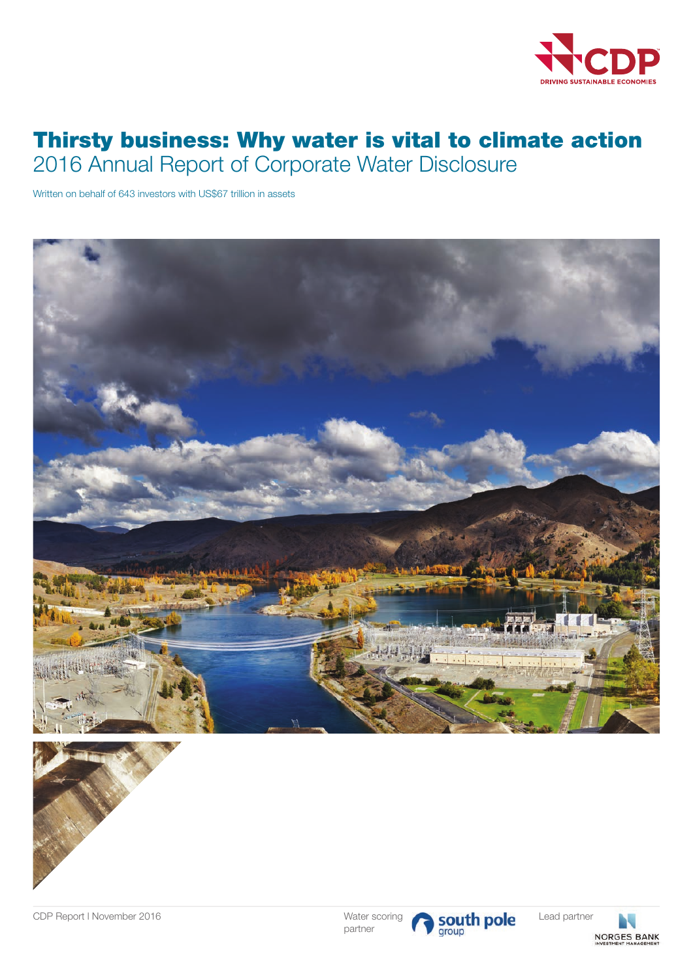

# Thirsty business: Why water is vital to climate action 2016 Annual Report of Corporate Water Disclosure

Written on behalf of 643 investors with US\$67 trillion in assets











partner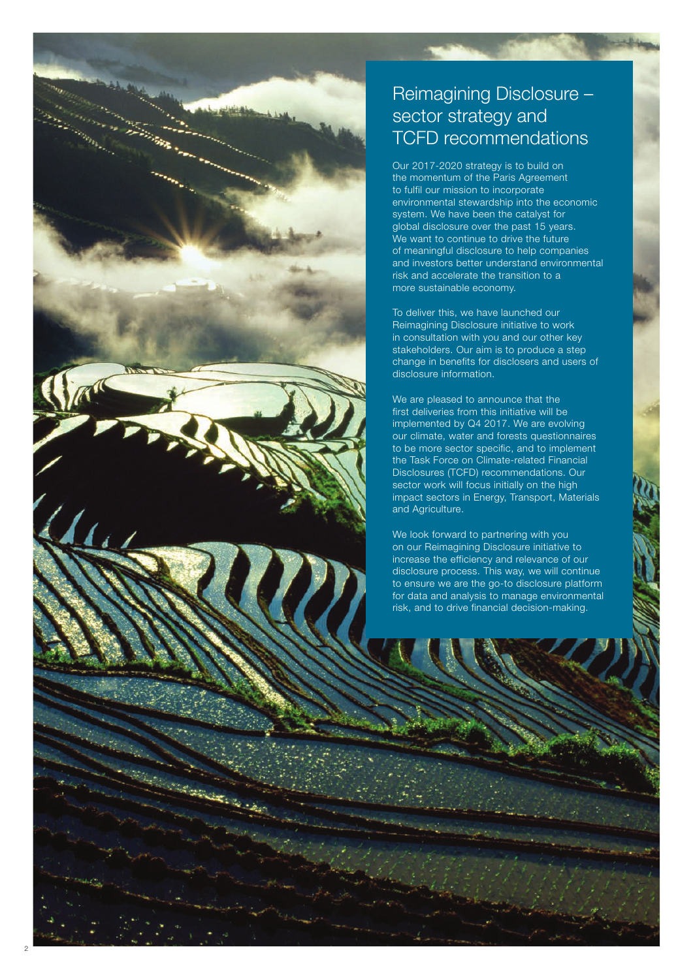

# Reimagining Disclosure – sector strategy and TCFD recommendations

Our 2017-2020 strategy is to build on the momentum of the Paris Agreement to fulfil our mission to incorporate environmental stewardship into the economic system. We have been the catalyst for global disclosure over the past 15 years. We want to continue to drive the future of meaningful disclosure to help companies and investors better understand environmental risk and accelerate the transition to a more sustainable economy.

To deliver this, we have launched our Reimagining Disclosure initiative to work in consultation with you and our other key stakeholders. Our aim is to produce a step change in benefits for disclosers and users of disclosure information.

We are pleased to announce that the first deliveries from this initiative will be implemented by Q4 2017. We are evolving our climate, water and forests questionnaires to be more sector specific, and to implement the Task Force on Climate-related Financial Disclosures (TCFD) recommendations. Our sector work will focus initially on the high impact sectors in Energy, Transport, Materials and Agriculture.

We look forward to partnering with you on our Reimagining Disclosure initiative to increase the efficiency and relevance of our disclosure process. This way, we will continue to ensure we are the go-to disclosure platform for data and analysis to manage environmental risk, and to drive financial decision-making.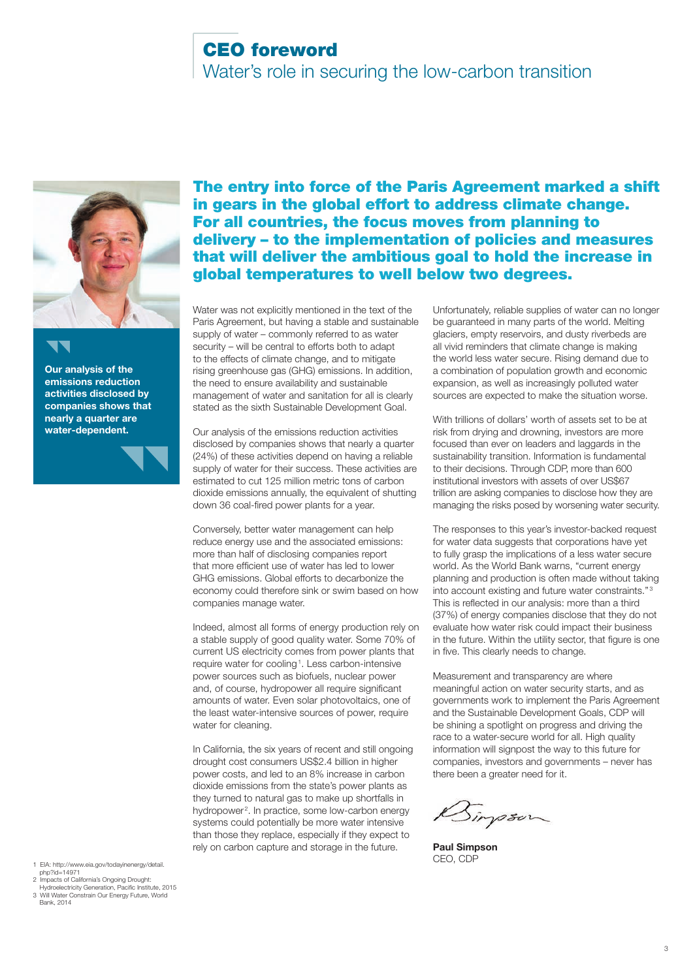# CEO foreword

Water's role in securing the low-carbon transition



Our analysis of the emissions reduction activities disclosed by companies shows that nearly a quarter are water-dependent.

The entry into force of the Paris Agreement marked a shift in gears in the global effort to address climate change. For all countries, the focus moves from planning to delivery – to the implementation of policies and measures that will deliver the ambitious goal to hold the increase in global temperatures to well below two degrees.

Water was not explicitly mentioned in the text of the Paris Agreement, but having a stable and sustainable supply of water – commonly referred to as water security – will be central to efforts both to adapt to the effects of climate change, and to mitigate rising greenhouse gas (GHG) emissions. In addition, the need to ensure availability and sustainable management of water and sanitation for all is clearly stated as the sixth Sustainable Development Goal.

Our analysis of the emissions reduction activities disclosed by companies shows that nearly a quarter (24%) of these activities depend on having a reliable supply of water for their success. These activities are estimated to cut 125 million metric tons of carbon dioxide emissions annually, the equivalent of shutting down 36 coal-fired power plants for a year.

Conversely, better water management can help reduce energy use and the associated emissions: more than half of disclosing companies report that more efficient use of water has led to lower GHG emissions. Global efforts to decarbonize the economy could therefore sink or swim based on how companies manage water.

Indeed, almost all forms of energy production rely on a stable supply of good quality water. Some 70% of current US electricity comes from power plants that require water for cooling<sup>1</sup>. Less carbon-intensive power sources such as biofuels, nuclear power and, of course, hydropower all require significant amounts of water. Even solar photovoltaics, one of the least water-intensive sources of power, require water for cleaning.

In California, the six years of recent and still ongoing drought cost consumers US\$2.4 billion in higher power costs, and led to an 8% increase in carbon dioxide emissions from the state's power plants as they turned to natural gas to make up shortfalls in hydropower<sup>2</sup>. In practice, some low-carbon energy systems could potentially be more water intensive than those they replace, especially if they expect to rely on carbon capture and storage in the future.

Unfortunately, reliable supplies of water can no longer be guaranteed in many parts of the world. Melting glaciers, empty reservoirs, and dusty riverbeds are all vivid reminders that climate change is making the world less water secure. Rising demand due to a combination of population growth and economic expansion, as well as increasingly polluted water sources are expected to make the situation worse.

With trillions of dollars' worth of assets set to be at risk from drying and drowning, investors are more focused than ever on leaders and laggards in the sustainability transition. Information is fundamental to their decisions. Through CDP, more than 600 institutional investors with assets of over US\$67 trillion are asking companies to disclose how they are managing the risks posed by worsening water security.

The responses to this year's investor-backed request for water data suggests that corporations have yet to fully grasp the implications of a less water secure world. As the World Bank warns, "current energy planning and production is often made without taking into account existing and future water constraints." <sup>3</sup> This is reflected in our analysis: more than a third (37%) of energy companies disclose that they do not evaluate how water risk could impact their business in the future. Within the utility sector, that figure is one in five. This clearly needs to change.

Measurement and transparency are where meaningful action on water security starts, and as governments work to implement the Paris Agreement and the Sustainable Development Goals, CDP will be shining a spotlight on progress and driving the race to a water-secure world for all. High quality information will signpost the way to this future for companies, investors and governments – never has there been a greater need for it.

impson

Paul Simpson CEO, CDP

1 EIA: http://www.eia.gov/todayinenergy/detail. php?id=14971

- 
- 2 Impacts of California's Ongoing Drought: Hydroelectricity Generation, Pacific Institute, 2015 3 Will Water Constrain Our Energy Future, World
- Bank, 2014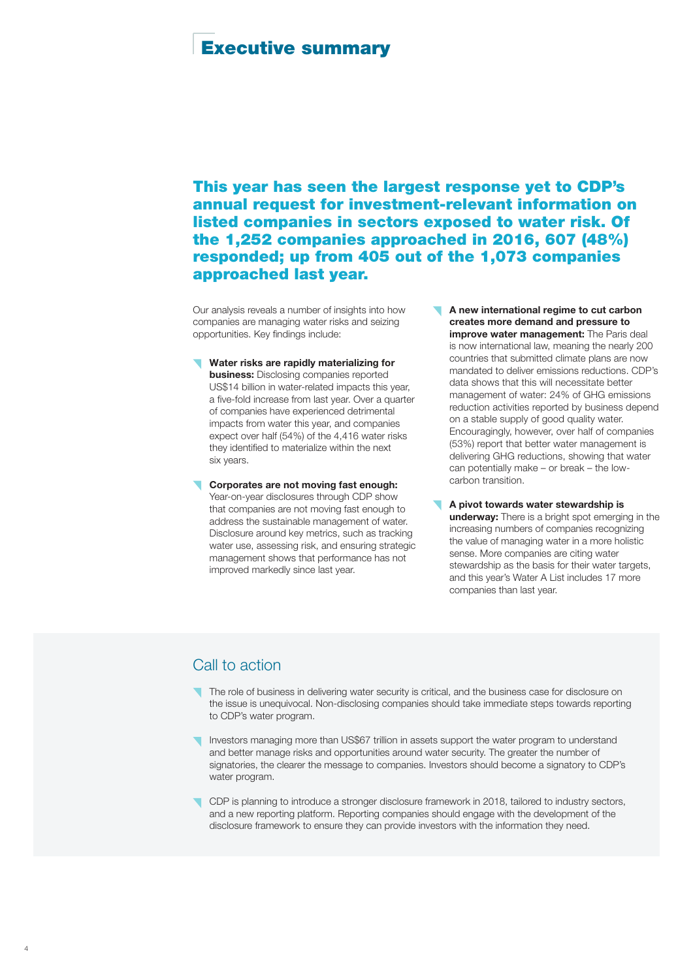# Executive summary

This year has seen the largest response yet to CDP's annual request for investment-relevant information on listed companies in sectors exposed to water risk. Of the 1,252 companies approached in 2016, 607 (48%) responded; up from 405 out of the 1,073 companies approached last year.

Our analysis reveals a number of insights into how companies are managing water risks and seizing opportunities. Key findings include:

- Water risks are rapidly materializing for **business:** Disclosing companies reported US\$14 billion in water-related impacts this year, a five-fold increase from last year. Over a quarter of companies have experienced detrimental impacts from water this year, and companies expect over half (54%) of the 4,416 water risks they identified to materialize within the next six years.
- **Corporates are not moving fast enough:** Year-on-year disclosures through CDP show that companies are not moving fast enough to address the sustainable management of water. Disclosure around key metrics, such as tracking water use, assessing risk, and ensuring strategic management shows that performance has not improved markedly since last year.
- A new international regime to cut carbon creates more demand and pressure to improve water management: The Paris deal is now international law, meaning the nearly 200 countries that submitted climate plans are now mandated to deliver emissions reductions. CDP's data shows that this will necessitate better management of water: 24% of GHG emissions reduction activities reported by business depend on a stable supply of good quality water. Encouragingly, however, over half of companies (53%) report that better water management is delivering GHG reductions, showing that water can potentially make – or break – the lowcarbon transition.
- A pivot towards water stewardship is underway: There is a bright spot emerging in the increasing numbers of companies recognizing the value of managing water in a more holistic sense. More companies are citing water stewardship as the basis for their water targets, and this year's Water A List includes 17 more companies than last year.

# Call to action

- The role of business in delivering water security is critical, and the business case for disclosure on the issue is unequivocal. Non-disclosing companies should take immediate steps towards reporting to CDP's water program.
- Investors managing more than US\$67 trillion in assets support the water program to understand and better manage risks and opportunities around water security. The greater the number of signatories, the clearer the message to companies. Investors should become a signatory to CDP's water program.
- CDP is planning to introduce a stronger disclosure framework in 2018, tailored to industry sectors, and a new reporting platform. Reporting companies should engage with the development of the disclosure framework to ensure they can provide investors with the information they need.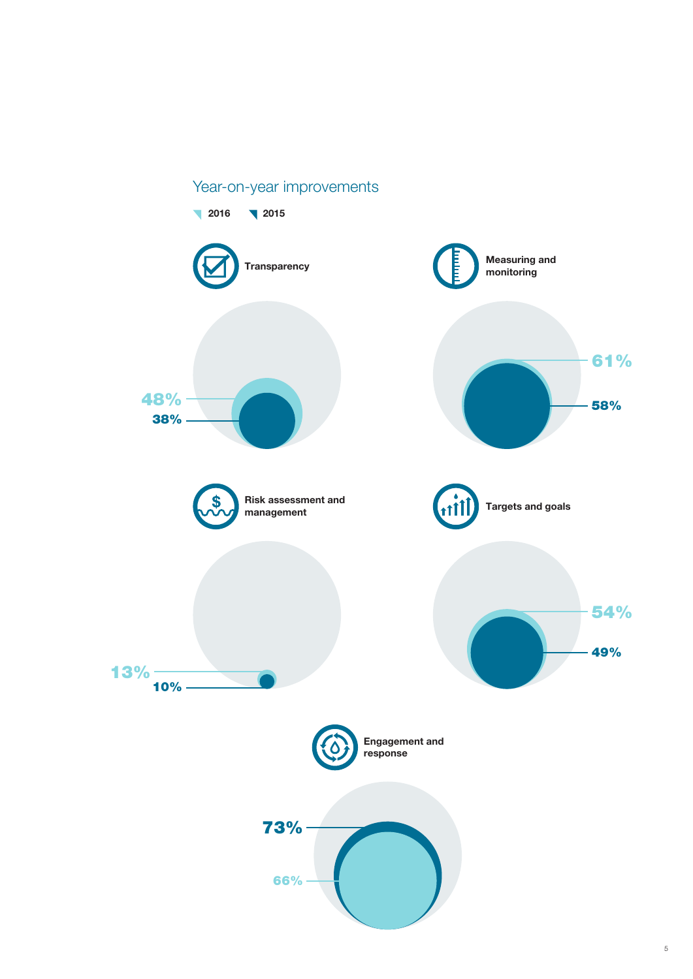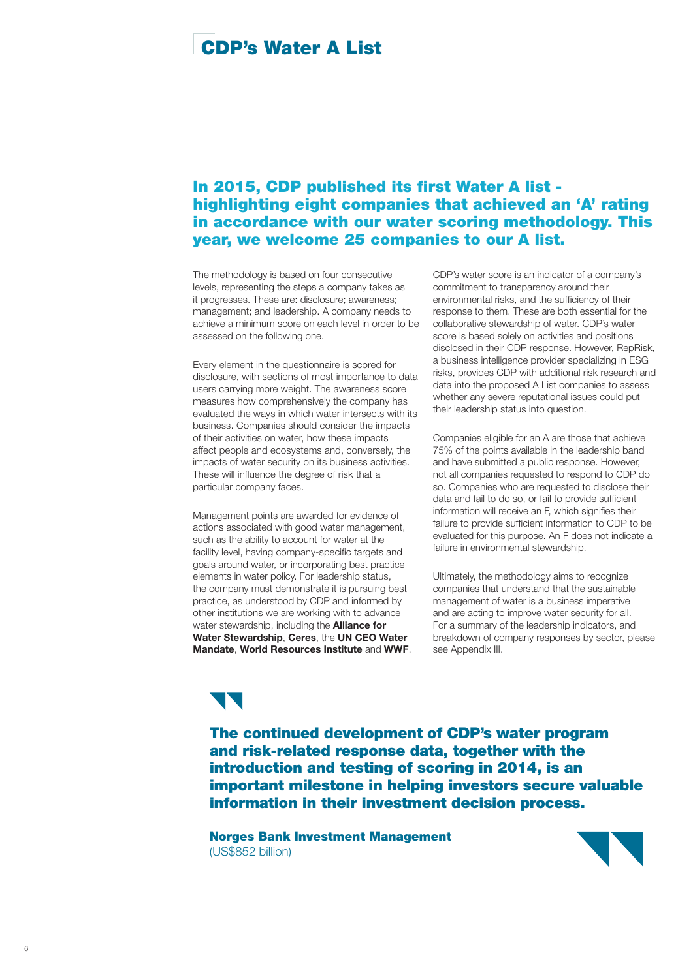# CDP's Water A List

# In 2015, CDP published its first Water A list highlighting eight companies that achieved an 'A' rating in accordance with our water scoring methodology. This year, we welcome 25 companies to our A list.

The methodology is based on four consecutive levels, representing the steps a company takes as it progresses. These are: disclosure; awareness; management; and leadership. A company needs to achieve a minimum score on each level in order to be assessed on the following one.

Every element in the questionnaire is scored for disclosure, with sections of most importance to data users carrying more weight. The awareness score measures how comprehensively the company has evaluated the ways in which water intersects with its business. Companies should consider the impacts of their activities on water, how these impacts affect people and ecosystems and, conversely, the impacts of water security on its business activities. These will influence the degree of risk that a particular company faces.

Management points are awarded for evidence of actions associated with good water management, such as the ability to account for water at the facility level, having company-specific targets and goals around water, or incorporating best practice elements in water policy. For leadership status, the company must demonstrate it is pursuing best practice, as understood by CDP and informed by other institutions we are working with to advance water stewardship, including the **Alliance for** Water Stewardship, Ceres, the UN CEO Water Mandate, World Resources Institute and WWF. CDP's water score is an indicator of a company's commitment to transparency around their environmental risks, and the sufficiency of their response to them. These are both essential for the collaborative stewardship of water. CDP's water score is based solely on activities and positions disclosed in their CDP response. However, RepRisk, a business intelligence provider specializing in ESG risks, provides CDP with additional risk research and data into the proposed A List companies to assess whether any severe reputational issues could put their leadership status into question.

Companies eligible for an A are those that achieve 75% of the points available in the leadership band and have submitted a public response. However, not all companies requested to respond to CDP do so. Companies who are requested to disclose their data and fail to do so, or fail to provide sufficient information will receive an F, which signifies their failure to provide sufficient information to CDP to be evaluated for this purpose. An F does not indicate a failure in environmental stewardship.

Ultimately, the methodology aims to recognize companies that understand that the sustainable management of water is a business imperative and are acting to improve water security for all. For a summary of the leadership indicators, and breakdown of company responses by sector, please see Appendix III.

The continued development of CDP's water program and risk-related response data, together with the introduction and testing of scoring in 2014, is an important milestone in helping investors secure valuable information in their investment decision process.

Norges Bank Investment Management (US\$852 billion)

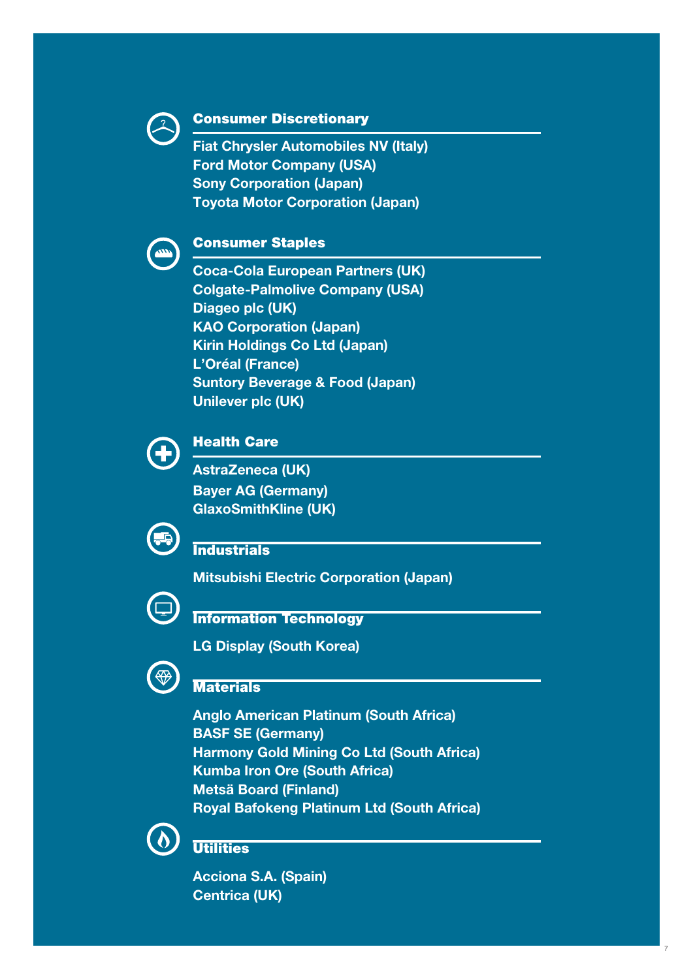

## Consumer Discretionary

Fiat Chrysler Automobiles NV (Italy) Ford Motor Company (USA) Sony Corporation (Japan) Toyota Motor Corporation (Japan)



## Consumer Staples

Coca-Cola European Partners (UK) Colgate-Palmolive Company (USA) Diageo plc (UK) KAO Corporation (Japan) Kirin Holdings Co Ltd (Japan) L'Oréal (France) Suntory Beverage & Food (Japan) Unilever plc (UK)



# Health Care

AstraZeneca (UK) Bayer AG (Germany) GlaxoSmithKline (UK)



## **Industrials**

Mitsubishi Electric Corporation (Japan)



## Information Technology

LG Display (South Korea)

## $\circledast$ **Materials**

Anglo American Platinum (South Africa) BASF SE (Germany) Harmony Gold Mining Co Ltd (South Africa) Kumba Iron Ore (South Africa) Metsä Board (Finland) Royal Bafokeng Platinum Ltd (South Africa)

7



# **Utilities**

Acciona S.A. (Spain) Centrica (UK)